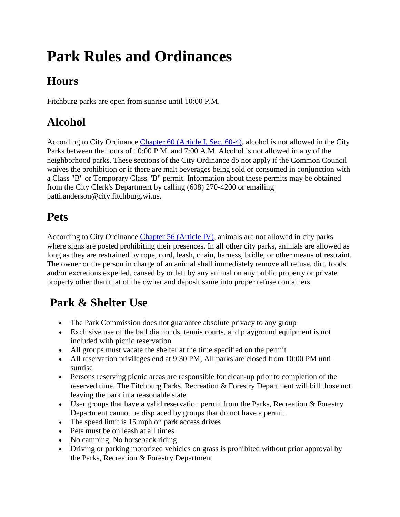# **Park Rules and Ordinances**

### **Hours**

Fitchburg parks are open from sunrise until 10:00 P.M.

### **Alcohol**

According to City Ordinance [Chapter 60 \(Article I, Sec. 60-4\),](http://library.municode.com/HTML/14843/level3/TIVBURE_CH60ALBE_ARTIINGE.html#TIVBURE_CH60ALBE_ARTIINGE_S60-4SACOALBEPUPL) alcohol is not allowed in the City Parks between the hours of 10:00 P.M. and 7:00 A.M. Alcohol is not allowed in any of the neighborhood parks. These sections of the City Ordinance do not apply if the Common Council waives the prohibition or if there are malt beverages being sold or consumed in conjunction with a Class "B" or Temporary Class "B" permit. Information about these permits may be obtained from the City Clerk's Department by calling (608) 270-4200 or emailing patti.anderson@city.fitchburg.wi.us.

#### **Pets**

According to City Ordinance [Chapter 56 \(Article IV\),](http://library.municode.com/HTML/14843/level3/CD_ORD_FITCHBURG_WISCONSIN_CH56ANCO_ARTIVANCACO.html) animals are not allowed in city parks where signs are posted prohibiting their presences. In all other city parks, animals are allowed as long as they are restrained by rope, cord, leash, chain, harness, bridle, or other means of restraint. The owner or the person in charge of an animal shall immediately remove all refuse, dirt, foods and/or excretions expelled, caused by or left by any animal on any public property or private property other than that of the owner and deposit same into proper refuse containers.

#### **Park & Shelter Use**

- The Park Commission does not guarantee absolute privacy to any group
- Exclusive use of the ball diamonds, tennis courts, and playground equipment is not included with picnic reservation
- All groups must vacate the shelter at the time specified on the permit
- All reservation privileges end at 9:30 PM, All parks are closed from 10:00 PM until sunrise
- Persons reserving picnic areas are responsible for clean-up prior to completion of the reserved time. The Fitchburg Parks, Recreation & Forestry Department will bill those not leaving the park in a reasonable state
- User groups that have a valid reservation permit from the Parks, Recreation & Forestry Department cannot be displaced by groups that do not have a permit
- The speed limit is 15 mph on park access drives
- Pets must be on leash at all times
- No camping, No horseback riding
- Driving or parking motorized vehicles on grass is prohibited without prior approval by the Parks, Recreation & Forestry Department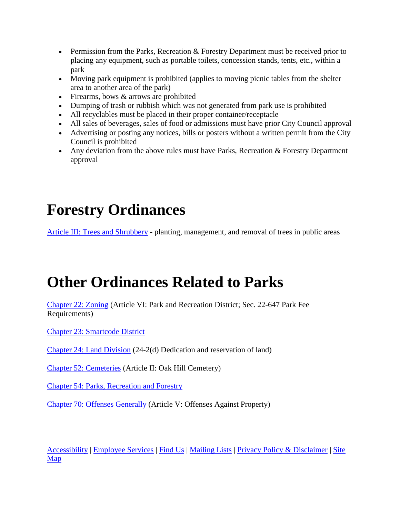- **•** Permission from the Parks, Recreation  $\&$  Forestry Department must be received prior to placing any equipment, such as portable toilets, concession stands, tents, etc., within a park
- Moving park equipment is prohibited (applies to moving picnic tables from the shelter area to another area of the park)
- $\bullet$  Firearms, bows  $\&$  arrows are prohibited
- Dumping of trash or rubbish which was not generated from park use is prohibited
- All recyclables must be placed in their proper container/receptacle
- All sales of beverages, sales of food or admissions must have prior City Council approval
- Advertising or posting any notices, bills or posters without a written permit from the City Council is prohibited
- Any deviation from the above rules must have Parks, Recreation  $&$  Forestry Department approval

## **Forestry Ordinances**

[Article III: Trees and Shrubbery](http://library.municode.com/HTML/14843/level3/CD_ORD_FITCHBURG_WISCONSIN_CH54PAREFO_ARTIIITRSH.html) - planting, management, and removal of trees in public areas

## **Other Ordinances Related to Parks**

[Chapter 22: Zoning](http://library.municode.com/HTML/14843/level2/TIIILAUSDE_CH22ZO.html#TOPTITLE) (Article VI: Park and Recreation District; Sec. 22-647 Park Fee Requirements)

[Chapter 23: Smartcode District](http://library.municode.com/HTML/14843/level2/TIIILAUSDE_CH23SMDI.html) 

[Chapter 24: Land Division](http://library.municode.com/HTML/14843/level2/TIIILAUSDE_CH24LADI.html#TOPTITLE) (24-2(d) Dedication and reservation of land)

[Chapter 52: Cemeteries](http://library.municode.com/HTML/14843/level2/CD_ORD_FITCHBURG_WISCONSIN_CH52CE.html#TOPTITLE) (Article II: Oak Hill Cemetery)

[Chapter 54: Parks, Recreation and Forestry](http://library.municode.com/HTML/14843/level2/CD_ORD_FITCHBURG_WISCONSIN_CH54PAREFO.html#TOPTITLE)

[Chapter 70: Offenses Generally \(](http://library.municode.com/HTML/14843/level3/TIVIOFNU_CH70OFGE_ARTVOFAGPR.html#TOPTITLE)Article V: Offenses Against Property)

[Accessibility](http://www.city.fitchburg.wi.us/siteInfo/accessibility.php) | [Employee Services](http://www.city.fitchburg.wi.us/departments/cityHall/humanResources/employeeServices/index.php) | [Find Us](http://www.city.fitchburg.wi.us/siteInfo/findUs.php) | [Mailing Lists](http://www.city.fitchburg.wi.us/mail_list/index.php) | [Privacy Policy & Disclaimer](http://www.city.fitchburg.wi.us/siteInfo/privacyPolicy.php) | [Site](http://www.city.fitchburg.wi.us/departments/index.php)  [Map](http://www.city.fitchburg.wi.us/departments/index.php)